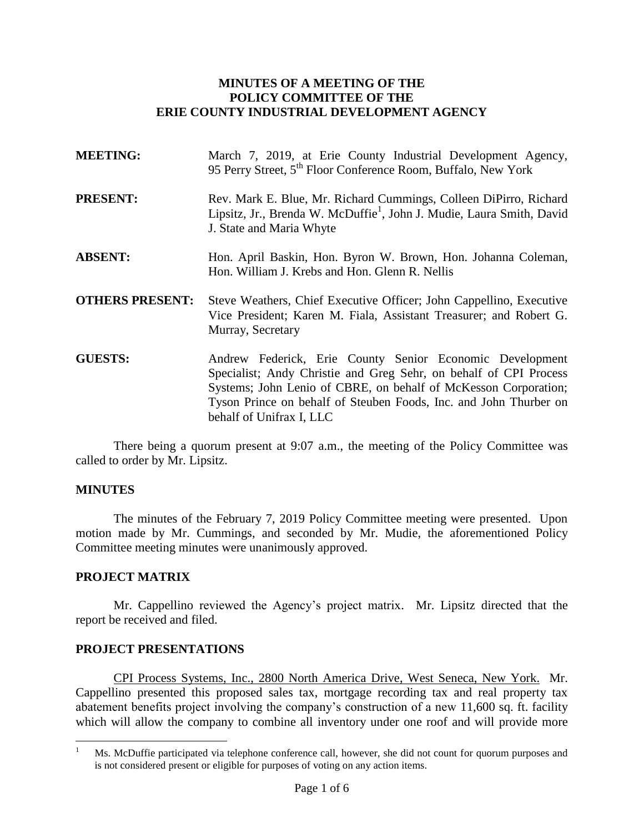## **MINUTES OF A MEETING OF THE POLICY COMMITTEE OF THE ERIE COUNTY INDUSTRIAL DEVELOPMENT AGENCY**

| <b>MEETING:</b>        | March 7, 2019, at Erie County Industrial Development Agency,<br>95 Perry Street, 5 <sup>th</sup> Floor Conference Room, Buffalo, New York                                                                                                                                                         |  |  |
|------------------------|---------------------------------------------------------------------------------------------------------------------------------------------------------------------------------------------------------------------------------------------------------------------------------------------------|--|--|
| <b>PRESENT:</b>        | Rev. Mark E. Blue, Mr. Richard Cummings, Colleen DiPirro, Richard<br>Lipsitz, Jr., Brenda W. McDuffie <sup>1</sup> , John J. Mudie, Laura Smith, David<br>J. State and Maria Whyte                                                                                                                |  |  |
| <b>ABSENT:</b>         | Hon. April Baskin, Hon. Byron W. Brown, Hon. Johanna Coleman,<br>Hon. William J. Krebs and Hon. Glenn R. Nellis                                                                                                                                                                                   |  |  |
| <b>OTHERS PRESENT:</b> | Steve Weathers, Chief Executive Officer; John Cappellino, Executive<br>Vice President; Karen M. Fiala, Assistant Treasurer; and Robert G.<br>Murray, Secretary                                                                                                                                    |  |  |
| <b>GUESTS:</b>         | Andrew Federick, Erie County Senior Economic Development<br>Specialist; Andy Christie and Greg Sehr, on behalf of CPI Process<br>Systems; John Lenio of CBRE, on behalf of McKesson Corporation;<br>Tyson Prince on behalf of Steuben Foods, Inc. and John Thurber on<br>behalf of Unifrax I, LLC |  |  |

There being a quorum present at 9:07 a.m., the meeting of the Policy Committee was called to order by Mr. Lipsitz.

### **MINUTES**

 $\overline{a}$ 

The minutes of the February 7, 2019 Policy Committee meeting were presented. Upon motion made by Mr. Cummings, and seconded by Mr. Mudie, the aforementioned Policy Committee meeting minutes were unanimously approved.

### **PROJECT MATRIX**

Mr. Cappellino reviewed the Agency's project matrix. Mr. Lipsitz directed that the report be received and filed.

### **PROJECT PRESENTATIONS**

CPI Process Systems, Inc., 2800 North America Drive, West Seneca, New York. Mr. Cappellino presented this proposed sales tax, mortgage recording tax and real property tax abatement benefits project involving the company's construction of a new 11,600 sq. ft. facility which will allow the company to combine all inventory under one roof and will provide more

<sup>1</sup> Ms. McDuffie participated via telephone conference call, however, she did not count for quorum purposes and is not considered present or eligible for purposes of voting on any action items.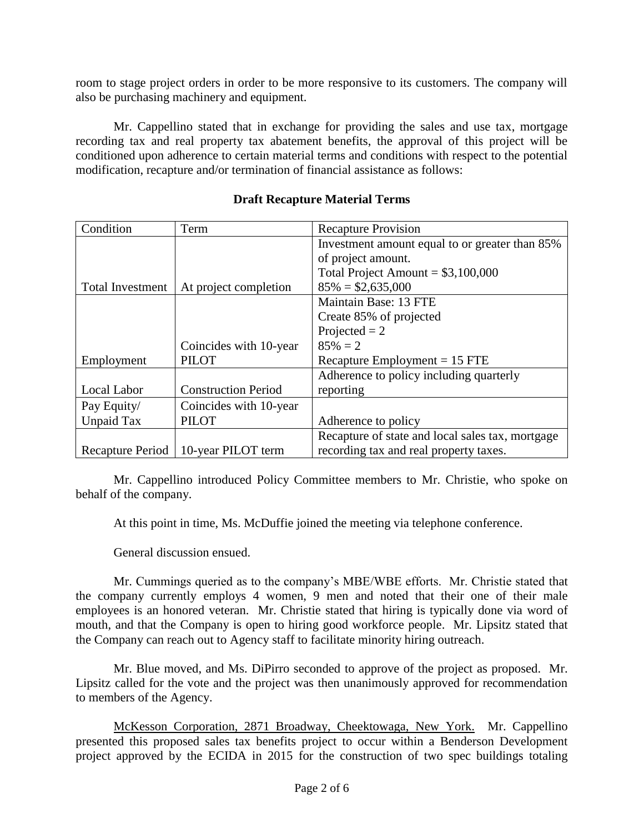room to stage project orders in order to be more responsive to its customers. The company will also be purchasing machinery and equipment.

Mr. Cappellino stated that in exchange for providing the sales and use tax, mortgage recording tax and real property tax abatement benefits, the approval of this project will be conditioned upon adherence to certain material terms and conditions with respect to the potential modification, recapture and/or termination of financial assistance as follows:

| Condition               | Term                       | <b>Recapture Provision</b>                       |
|-------------------------|----------------------------|--------------------------------------------------|
|                         |                            | Investment amount equal to or greater than 85%   |
|                         |                            | of project amount.                               |
|                         |                            | Total Project Amount = $$3,100,000$              |
| <b>Total Investment</b> | At project completion      | $85\% = $2,635,000$                              |
|                         |                            | Maintain Base: 13 FTE                            |
|                         |                            | Create 85% of projected                          |
|                         |                            | Projected $= 2$                                  |
|                         | Coincides with 10-year     | $85\% = 2$                                       |
| Employment              | <b>PILOT</b>               | Recapture Employment $= 15$ FTE                  |
|                         |                            | Adherence to policy including quarterly          |
| Local Labor             | <b>Construction Period</b> | reporting                                        |
| Pay Equity/             | Coincides with 10-year     |                                                  |
| Unpaid Tax              | <b>PILOT</b>               | Adherence to policy                              |
|                         |                            | Recapture of state and local sales tax, mortgage |
| <b>Recapture Period</b> | 10-year PILOT term         | recording tax and real property taxes.           |

## **Draft Recapture Material Terms**

Mr. Cappellino introduced Policy Committee members to Mr. Christie, who spoke on behalf of the company.

At this point in time, Ms. McDuffie joined the meeting via telephone conference.

General discussion ensued.

Mr. Cummings queried as to the company's MBE/WBE efforts. Mr. Christie stated that the company currently employs 4 women, 9 men and noted that their one of their male employees is an honored veteran. Mr. Christie stated that hiring is typically done via word of mouth, and that the Company is open to hiring good workforce people. Mr. Lipsitz stated that the Company can reach out to Agency staff to facilitate minority hiring outreach.

Mr. Blue moved, and Ms. DiPirro seconded to approve of the project as proposed. Mr. Lipsitz called for the vote and the project was then unanimously approved for recommendation to members of the Agency.

McKesson Corporation, 2871 Broadway, Cheektowaga, New York. Mr. Cappellino presented this proposed sales tax benefits project to occur within a Benderson Development project approved by the ECIDA in 2015 for the construction of two spec buildings totaling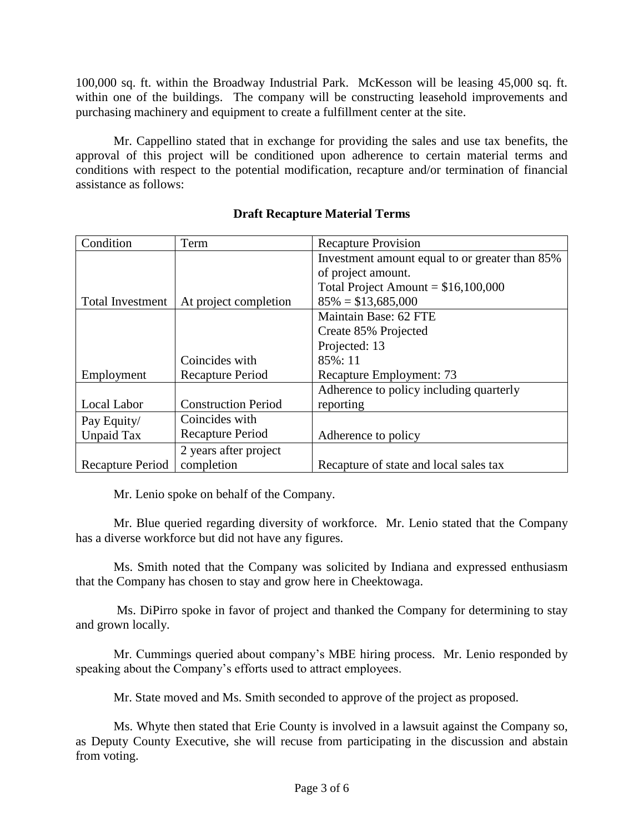100,000 sq. ft. within the Broadway Industrial Park. McKesson will be leasing 45,000 sq. ft. within one of the buildings. The company will be constructing leasehold improvements and purchasing machinery and equipment to create a fulfillment center at the site.

Mr. Cappellino stated that in exchange for providing the sales and use tax benefits, the approval of this project will be conditioned upon adherence to certain material terms and conditions with respect to the potential modification, recapture and/or termination of financial assistance as follows:

| Condition               | Term                       | <b>Recapture Provision</b>                     |
|-------------------------|----------------------------|------------------------------------------------|
|                         |                            | Investment amount equal to or greater than 85% |
|                         |                            | of project amount.                             |
|                         |                            | Total Project Amount = $$16,100,000$           |
| <b>Total Investment</b> | At project completion      | $85\% = $13,685,000$                           |
|                         |                            | Maintain Base: 62 FTE                          |
|                         |                            | Create 85% Projected                           |
|                         |                            | Projected: 13                                  |
|                         | Coincides with             | 85%: 11                                        |
| Employment              | Recapture Period           | Recapture Employment: 73                       |
|                         |                            | Adherence to policy including quarterly        |
| Local Labor             | <b>Construction Period</b> | reporting                                      |
| Pay Equity/             | Coincides with             |                                                |
| <b>Unpaid Tax</b>       | Recapture Period           | Adherence to policy                            |
|                         | 2 years after project      |                                                |
| Recapture Period        | completion                 | Recapture of state and local sales tax         |

## **Draft Recapture Material Terms**

Mr. Lenio spoke on behalf of the Company.

Mr. Blue queried regarding diversity of workforce. Mr. Lenio stated that the Company has a diverse workforce but did not have any figures.

Ms. Smith noted that the Company was solicited by Indiana and expressed enthusiasm that the Company has chosen to stay and grow here in Cheektowaga.

Ms. DiPirro spoke in favor of project and thanked the Company for determining to stay and grown locally.

Mr. Cummings queried about company's MBE hiring process. Mr. Lenio responded by speaking about the Company's efforts used to attract employees.

Mr. State moved and Ms. Smith seconded to approve of the project as proposed.

Ms. Whyte then stated that Erie County is involved in a lawsuit against the Company so, as Deputy County Executive, she will recuse from participating in the discussion and abstain from voting.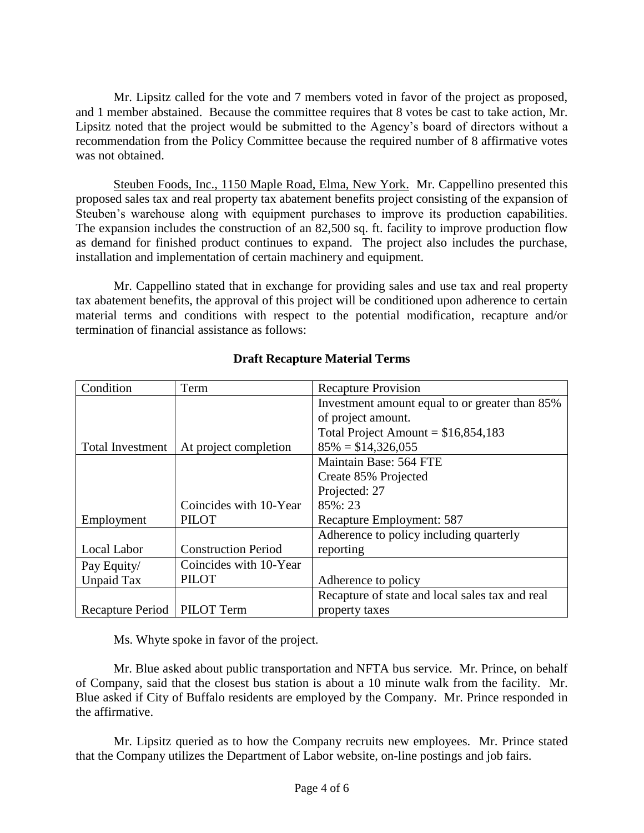Mr. Lipsitz called for the vote and 7 members voted in favor of the project as proposed, and 1 member abstained. Because the committee requires that 8 votes be cast to take action, Mr. Lipsitz noted that the project would be submitted to the Agency's board of directors without a recommendation from the Policy Committee because the required number of 8 affirmative votes was not obtained.

Steuben Foods, Inc., 1150 Maple Road, Elma, New York. Mr. Cappellino presented this proposed sales tax and real property tax abatement benefits project consisting of the expansion of Steuben's warehouse along with equipment purchases to improve its production capabilities. The expansion includes the construction of an 82,500 sq. ft. facility to improve production flow as demand for finished product continues to expand. The project also includes the purchase, installation and implementation of certain machinery and equipment.

Mr. Cappellino stated that in exchange for providing sales and use tax and real property tax abatement benefits, the approval of this project will be conditioned upon adherence to certain material terms and conditions with respect to the potential modification, recapture and/or termination of financial assistance as follows:

| Condition        | Term                       | <b>Recapture Provision</b>                      |
|------------------|----------------------------|-------------------------------------------------|
|                  |                            | Investment amount equal to or greater than 85%  |
|                  |                            | of project amount.                              |
|                  |                            | Total Project Amount = $$16,854,183$            |
| Total Investment | At project completion      | $85\% = $14,326,055$                            |
|                  |                            | Maintain Base: 564 FTE                          |
|                  |                            | Create 85% Projected                            |
|                  |                            | Projected: 27                                   |
|                  | Coincides with 10-Year     | 85%: 23                                         |
| Employment       | <b>PILOT</b>               | Recapture Employment: 587                       |
|                  |                            | Adherence to policy including quarterly         |
| Local Labor      | <b>Construction Period</b> | reporting                                       |
| Pay Equity/      | Coincides with 10-Year     |                                                 |
| Unpaid Tax       | <b>PILOT</b>               | Adherence to policy                             |
|                  |                            | Recapture of state and local sales tax and real |
| Recapture Period | PILOT Term                 | property taxes                                  |

# **Draft Recapture Material Terms**

Ms. Whyte spoke in favor of the project.

Mr. Blue asked about public transportation and NFTA bus service. Mr. Prince, on behalf of Company, said that the closest bus station is about a 10 minute walk from the facility. Mr. Blue asked if City of Buffalo residents are employed by the Company. Mr. Prince responded in the affirmative.

Mr. Lipsitz queried as to how the Company recruits new employees. Mr. Prince stated that the Company utilizes the Department of Labor website, on-line postings and job fairs.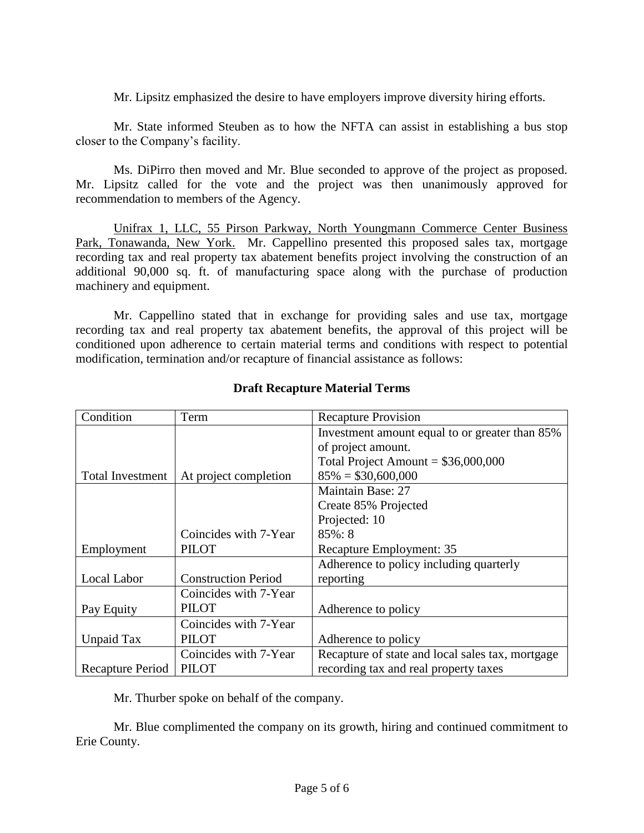Mr. Lipsitz emphasized the desire to have employers improve diversity hiring efforts.

Mr. State informed Steuben as to how the NFTA can assist in establishing a bus stop closer to the Company's facility.

Ms. DiPirro then moved and Mr. Blue seconded to approve of the project as proposed. Mr. Lipsitz called for the vote and the project was then unanimously approved for recommendation to members of the Agency.

Unifrax 1, LLC, 55 Pirson Parkway, North Youngmann Commerce Center Business Park, Tonawanda, New York. Mr. Cappellino presented this proposed sales tax, mortgage recording tax and real property tax abatement benefits project involving the construction of an additional 90,000 sq. ft. of manufacturing space along with the purchase of production machinery and equipment.

Mr. Cappellino stated that in exchange for providing sales and use tax, mortgage recording tax and real property tax abatement benefits, the approval of this project will be conditioned upon adherence to certain material terms and conditions with respect to potential modification, termination and/or recapture of financial assistance as follows:

| Condition               | Term                       | <b>Recapture Provision</b>                       |
|-------------------------|----------------------------|--------------------------------------------------|
|                         |                            | Investment amount equal to or greater than 85%   |
|                         |                            | of project amount.                               |
|                         |                            | Total Project Amount = $$36,000,000$             |
| <b>Total Investment</b> | At project completion      | $85\% = $30,600,000$                             |
|                         |                            | <b>Maintain Base: 27</b>                         |
|                         |                            | Create 85% Projected                             |
|                         |                            | Projected: 10                                    |
|                         | Coincides with 7-Year      | $85\%:8$                                         |
| Employment              | <b>PILOT</b>               | Recapture Employment: 35                         |
|                         |                            | Adherence to policy including quarterly          |
| Local Labor             | <b>Construction Period</b> | reporting                                        |
|                         | Coincides with 7-Year      |                                                  |
| Pay Equity              | <b>PILOT</b>               | Adherence to policy                              |
|                         | Coincides with 7-Year      |                                                  |
| Unpaid Tax              | <b>PILOT</b>               | Adherence to policy                              |
|                         | Coincides with 7-Year      | Recapture of state and local sales tax, mortgage |
| <b>Recapture Period</b> | <b>PILOT</b>               | recording tax and real property taxes            |

# **Draft Recapture Material Terms**

Mr. Thurber spoke on behalf of the company.

Mr. Blue complimented the company on its growth, hiring and continued commitment to Erie County.